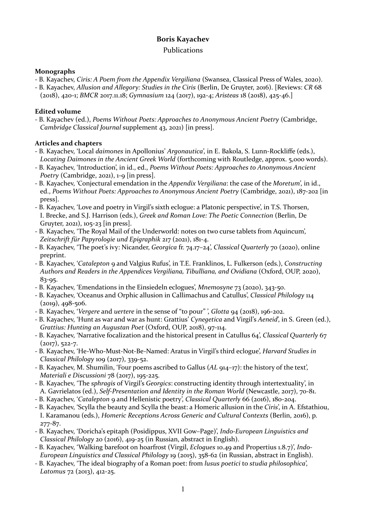# **Boris Kavachev**

## Publications

## **Monographs**

- B. Kayachev, *Ciris: A Poem from the Appendix Vergiliana* (Swansea, Classical Press of Wales, 2020).
- B. Kayachev, *Allusion and Allegory: Studies in the Ciris* (Berlin, De Gruyter, 2016). [Reviews: *CR* 68 (2018), 420-1; *BMCR* 2017.11.18; *Gymnasium* 124 (2017), 192-4; *Aristeas* 18 (2018), 425-46.]

# **Edited** volume

- B. Kayachev (ed.), *Poems Without Poets: Approaches to Anonymous Ancient Poetry* (Cambridge, *Cambridge Classical Journal* supplement 43, 2021) [in press].

# **Articles and chapters**

- B. Kayachev, 'Local *daimones* in Apollonius' *Argonautica*', in E. Bakola, S. Lunn-Rockliffe (eds.), Locating Daimones in the Ancient Greek World (forthcoming with Routledge, approx. 5,000 words).
- B. Kayachev, 'Introduction', in id., ed., *Poems Without Poets: Approaches to Anonymous Ancient Poetry* (Cambridge, 2021), 1-9 [in press].
- B. Kayachev, 'Conjectural emendation in the *Appendix Vergiliana*: the case of the *Moretum*', in id., ed., Poems Without Poets: Approaches to Anonymous Ancient Poetry (Cambridge, 2021), 187-202 [in press].
- B. Kayachev, 'Love and poetry in Virgil's sixth eclogue: a Platonic perspective', in T.S. Thorsen, I. Brecke, and S.J. Harrison (eds.), *Greek and Roman Love: The Poetic Connection* (Berlin, De Gruyter,  $2021$ ),  $105-23$  [in press].
- B. Kayachev, 'The Royal Mail of the Underworld: notes on two curse tablets from Aquincum', Zeitschrift für Papyrologie und Epigraphik 217 (2021), 181-4.
- B. Kayachev, 'The poet's ivy: Nicander, *Georgica* fr. 74.17–24', *Classical Quarterly* 70 (2020), online preprint.
- B. Kayachev, *'Catalepton* 9 and Valgius Rufus', in T.E. Franklinos, L. Fulkerson (eds.), *Constructing* Authors and Readers in the Appendices Vergiliana, Tibulliana, and Ovidiana (Oxford, OUP, 2020), 83-95.
- B. Kayachev, 'Emendations in the Einsiedeln eclogues', *Mnemosyne* 73 (2020), 343-50.
- B. Kayachev, 'Oceanus and Orphic allusion in Callimachus and Catullus', *Classical Philology* 114  $(2019), 498 - 506.$
- B. Kayachev, '*Vergere* and *uertere* in the sense of "to pour"', *Glotta* 94 (2018), 196-202.
- B. Kayachev, 'Hunt as war and war as hunt: Grattius' *Cynegetica* and Virgil's *Aeneid*', in S. Green (ed.), Grattius: Hunting an Augustan Poet (Oxford, OUP, 2018), 97-114.
- B. Kayachev, 'Narrative focalization and the historical present in Catullus 64', *Classical Ouarterly* 67  $(2017), 522-7.$
- B. Kayachev, 'He-Who-Must-Not-Be-Named: Aratus in Virgil's third eclogue', *Harvard Studies in Classical Philology* 109 (2017), 339-52.
- B. Kayachev, M. Shumilin, 'Four poems ascribed to Gallus (AL 914–17): the history of the text', *Materiali e Discussioni* 78 (2017), 195-225.
- B. Kayachev, 'The *sphragis* of Virgil's *Georgics*: constructing identity through intertextuality', in A. Gavrielatos (ed.), *Self-Presentation and Identity in the Roman World* (Newcastle, 2017), 70-81.
- B. Kayachev, '*Catalepton* 9 and Hellenistic poetry', *Classical Quarterly* 66 (2016), 180-204.
- B. Kayachev, 'Scylla the beauty and Scylla the beast: a Homeric allusion in the *Ciris*', in A. Efstathiou, I. Karamanou (eds.), *Homeric Receptions Across Generic and Cultural Contexts* (Berlin, 2016), p. 277-87.
- B. Kayachev, 'Doricha's epitaph (Posidippus, XVII Gow–Page)', *Indo-European Linguistics and Classical Philology* 20 (2016), 419-25 (in Russian, abstract in English).
- B. Kayachev, 'Walking barefoot on hoarfrost (Virgil, *Ecloques* 10.49 and Propertius 1.8.7)', *Indo-European Linguistics and Classical Philology 19* (2015), 358-62 (in Russian, abstract in English).
- B. Kayachev, 'The ideal biography of a Roman poet: from *lusus poetici* to *studia philosophica*', *Latomus* 72 (2013), 412-25.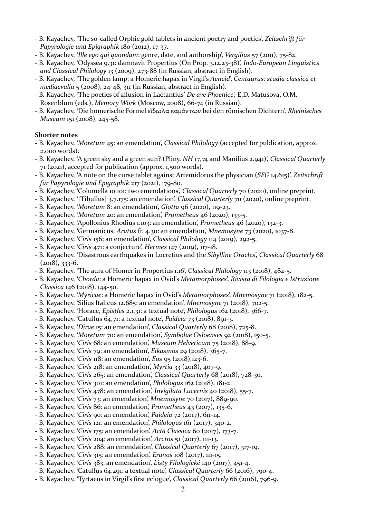- B. Kayachev, 'The so-called Orphic gold tablets in ancient poetry and poetics', *Zeitschrift für Papyrologie und Epigraphik* 180 (2012), 17-37.
- B. Kayachev, *'Ille ego qui quondam*: genre, date, and authorship', *Vergilius* 57 (2011), 75-82.
- B. Kayachev, 'Odyssea 9.31: damnavit Propertius (On Prop. 3.12.23-38)', *Indo-European Linguistics* and *Classical Philology* 13 (2009), 273-88 (in Russian, abstract in English).
- B. Kayachev, 'The golden lamp: a Homeric hapax in Virgil's *Aeneid*', *Centaurus: studia classica et mediaevalia* 5 (2008), 24-48, 311 (in Russian, abstract in English).
- B. Kayachev, 'The poetics of allusion in Lactantius' *De ave Phoenice*', E.D. Matusova, O.M. Rosenblum (eds.), Memory Work (Moscow, 2008), 66-74 (in Russian).
- B. Kayachev, 'Die homerische Formel εἴδωλα καμόντων bei den römischen Dichtern', *Rheinisches Museum* 151 (2008), 245-58.

## **Shorter** notes

- B. Kayachev, '*Moretum* 45: an emendation', *Classical Philology* (accepted for publication, approx. 2,000 words).
- B. Kayachev, 'A green sky and a green sun? (Pliny, *NH* 17,74 and Manilius 2.941)', *Classical Quarterly*  $71$  (2021), accepted for publication (approx. 1,500 words).
- B. Kayachev, 'A note on the curse tablet against Artemidorus the physician (*SEG* 14.615)', *Zeitschrift für Papyrologie und Epigraphik* 217 (2021), 179-80.
- B. Kayachev, 'Columella 10.101: two emendations', *Classical Quarterly* 70 (2020), online preprint.
- B. Kayachev, '[Tibullus] 3.7.175: an emendation', *Classical Ouarterly* 70 (2020), online preprint.
- B. Kayachev, '*Moretum* 8: an emendation', *Glotta* 96 (2020), 119-23.
- B. Kayachev, '*Moretum* 20: an emendation', *Prometheus* 46 (2020), 133-5.
- B. Kayachev, 'Apollonius Rhodius 1.103: an emendation', *Prometheus* 46 (2020), 132-3.
- B. Kayachev, 'Germanicus, *Aratus* fr. 4.30: an emendation', *Mnemosyne* 73 (2020), 1037-8.
- B. Kayachev, '*Ciris* 156: an emendation', *Classical Philology* 114 (2019), 292-5.
- - B. Kayachev, '*Ciris* 471: a conjecture', *Hermes* 147 (2019), 117-18.
- B. Kayachev, 'Disastrous earthquakes in Lucretius and the *Sibylline Oracles*', *Classical Quarterly* 68  $(2018)$ , 333-6.
- B. Kayachev, 'The aura of Homer in Propertius 1.16', *Classical Philology* 113 (2018), 482-5.
- B. Kayachev, '*Chorda*: a Homeric hapax in Ovid's *Metamorphoses*', *Rivista di Filologia e Istruzione Classica* 146 (2018), 144-50.
- - B. Kayachev, '*Myricae*: a Homeric hapax in Ovid's *Metamorphoses*', *Mnemosyne* 71 (2018), 182-5.
- B. Kayachev, 'Silius Italicus 12.685: an emendation', *Mnemosyne* 71 (2018), 702-5.
- - B. Kayachev, 'Horace, *Epistles* 2.1.31: a textual note', *Philologus* 162 (2018), 366-7.
- B. Kayachev, 'Catullus 64,71: a textual note', *Paideia* 73 (2018), 891-3.
- - B. Kayachev, '*Dirae* 15: an emendation', *Classical Quarterly* 68 (2018), 725-8.
- B. Kayachev, '*Moretum* 70: an emendation', *Symbolae Osloenses* 92 (2018), 150-5.
- B. Kayachev, '*Ciris* 68: an emendation', *Museum Helveticum* 75 (2018), 88-9.
- B. Kayachev, '*Ciris* 79: an emendation', *Eikasmos* 29 (2018), 365-7.
- B. Kayachev, '*Ciris* 118: an emendation', *Eos* 95 (2018),123-6.
- - B. Kayachev, '*Ciris* 218: an emendation', *Myrtia* 33 (2018), 407-9.
- - B. Kayachev, '*Ciris* 265: an emendation', *Classical Quarterly* 68 (2018), 728-30.
- B. Kayachev, '*Ciris* 301: an emendation', *Philologus* 162 (2018), 181-2.
- B. Kayachev, '*Ciris* 478: an emendation', *Invigilata Lucernis* 40 (2018), 55-7.
- B. Kayachev, *'Ciris* 73: an emendation', *Mnemosyne* 70 (2017), 889-90.
- B. Kayachev, '*Ciris* 86: an emendation', *Prometheus* 43 (2017), 135-6.
- B. Kayachev, '*Ciris* 90: an emendation', *Paideia* 72 (2017), 611-14.
- - B. Kayachev, '*Ciris* 121: an emendation', *Philologus* 161 (2017), 340-2.
- B. Kayachev, '*Ciris* 175: an emendation', *Acta Classica* 60 (2017), 173-7.
- - B. Kayachev, '*Ciris* 204: an emendation', *Arctos* 51 (2017), 111-13.
- B. Kayachev, '*Ciris* 288: an emendation', *Classical Quarterly* 67 (2017), 317-19.
- - B. Kayachev, '*Ciris* 315: an emendation', *Eranos* 108 (2017), 111-15.
- - B. Kayachev, '*Ciris* 383: an emendation', *Listy Filologické* 140 (2017), 451-4.
- B. Kayachev, 'Catullus 64.291: a textual note', *Classical Quarterly* 66 (2016), 790-4.
- B. Kayachev, 'Tyrtaeus in Virgil's first eclogue', *Classical Quarterly* 66 (2016), 796-9.